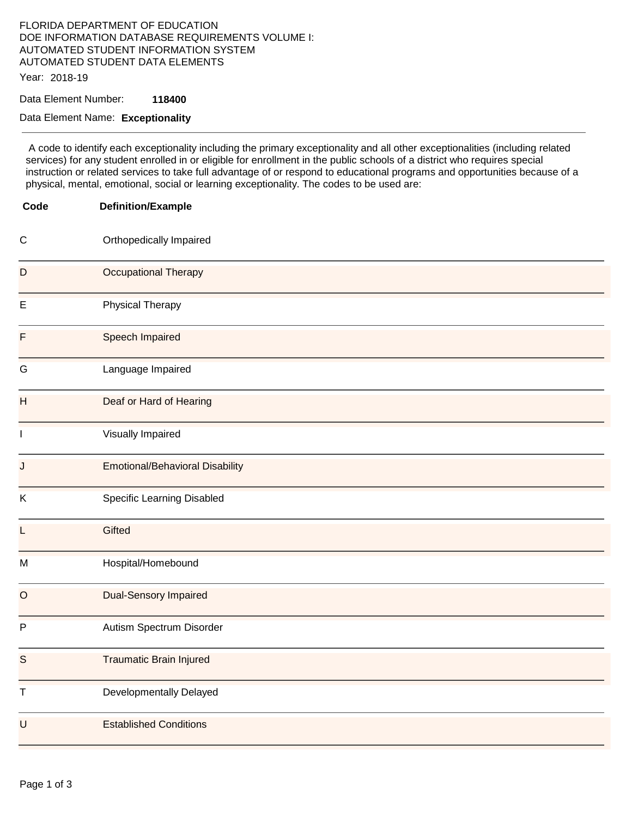## FLORIDA DEPARTMENT OF EDUCATION DOE INFORMATION DATABASE REQUIREMENTS VOLUME I: AUTOMATED STUDENT INFORMATION SYSTEM AUTOMATED STUDENT DATA ELEMENTS

Year: 2018-19

Data Element Number: **118400** 

## Data Element Name: **Exceptionality**

 A code to identify each exceptionality including the primary exceptionality and all other exceptionalities (including related services) for any student enrolled in or eligible for enrollment in the public schools of a district who requires special instruction or related services to take full advantage of or respond to educational programs and opportunities because of a physical, mental, emotional, social or learning exceptionality. The codes to be used are:

| Code         | <b>Definition/Example</b>              |
|--------------|----------------------------------------|
| $\mathsf{C}$ | Orthopedically Impaired                |
| D            | Occupational Therapy                   |
| E            | <b>Physical Therapy</b>                |
| F            | Speech Impaired                        |
| G            | Language Impaired                      |
| H            | Deaf or Hard of Hearing                |
| $\mathbf{I}$ | Visually Impaired                      |
| J            | <b>Emotional/Behavioral Disability</b> |
| Κ            | Specific Learning Disabled             |
| L            | Gifted                                 |
| M            | Hospital/Homebound                     |
| $\circ$      | <b>Dual-Sensory Impaired</b>           |
| $\mathsf{P}$ | Autism Spectrum Disorder               |
| S.           | <b>Traumatic Brain Injured</b>         |
| $\sf T$      | Developmentally Delayed                |
| $\mathsf U$  | <b>Established Conditions</b>          |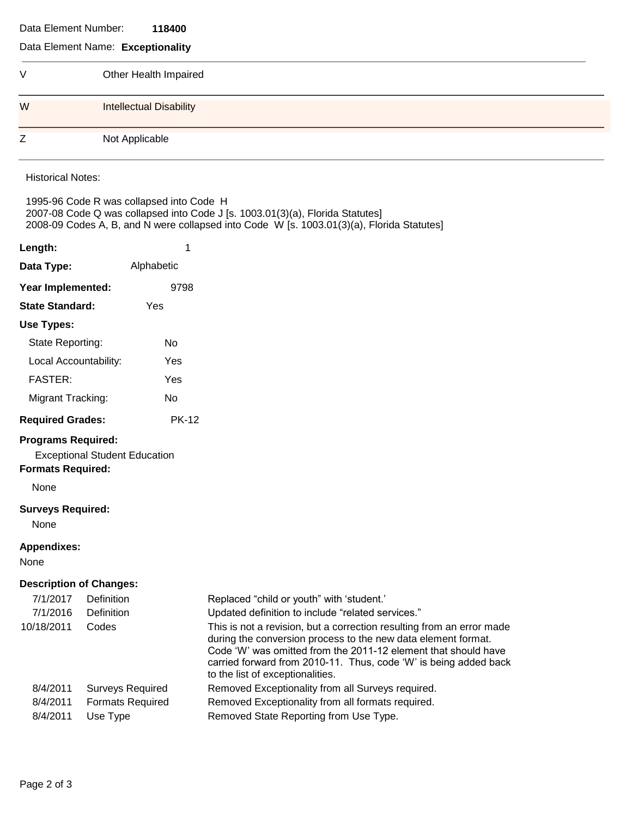## Data Element Number: **118400**

## Data Element Name: **Exceptionality**

**Length:** 1

| ٧ | Other Health Impaired          |
|---|--------------------------------|
| W | <b>Intellectual Disability</b> |
| Z | Not Applicable                 |

Historical Notes:

1995-96 Code R was collapsed into Code H 2007-08 Code Q was collapsed into Code J [s. 1003.01(3)(a), Florida Statutes] 2008-09 Codes A, B, and N were collapsed into Code W [s. 1003.01(3)(a), Florida Statutes]

| Data Type:                                                    | Alphabetic                                                     |                                                                                                                                                                                                                                                                                                                                                                                                                    |
|---------------------------------------------------------------|----------------------------------------------------------------|--------------------------------------------------------------------------------------------------------------------------------------------------------------------------------------------------------------------------------------------------------------------------------------------------------------------------------------------------------------------------------------------------------------------|
| Year Implemented:                                             | 9798                                                           |                                                                                                                                                                                                                                                                                                                                                                                                                    |
| <b>State Standard:</b>                                        | Yes                                                            |                                                                                                                                                                                                                                                                                                                                                                                                                    |
| Use Types:                                                    |                                                                |                                                                                                                                                                                                                                                                                                                                                                                                                    |
| State Reporting:                                              | No                                                             |                                                                                                                                                                                                                                                                                                                                                                                                                    |
| Local Accountability:                                         | Yes                                                            |                                                                                                                                                                                                                                                                                                                                                                                                                    |
| <b>FASTER:</b>                                                | Yes                                                            |                                                                                                                                                                                                                                                                                                                                                                                                                    |
| Migrant Tracking:                                             | <b>No</b>                                                      |                                                                                                                                                                                                                                                                                                                                                                                                                    |
| <b>Required Grades:</b>                                       | <b>PK-12</b>                                                   |                                                                                                                                                                                                                                                                                                                                                                                                                    |
| <b>Programs Required:</b><br><b>Formats Required:</b><br>None | <b>Exceptional Student Education</b>                           |                                                                                                                                                                                                                                                                                                                                                                                                                    |
| <b>Surveys Required:</b><br>None                              |                                                                |                                                                                                                                                                                                                                                                                                                                                                                                                    |
| <b>Appendixes:</b><br>None                                    |                                                                |                                                                                                                                                                                                                                                                                                                                                                                                                    |
| <b>Description of Changes:</b>                                |                                                                |                                                                                                                                                                                                                                                                                                                                                                                                                    |
| 7/1/2017<br>7/1/2016<br>10/18/2011                            | Definition<br>Definition<br>Codes                              | Replaced "child or youth" with 'student.'<br>Updated definition to include "related services."<br>This is not a revision, but a correction resulting from an error made<br>during the conversion process to the new data element format.<br>Code 'W' was omitted from the 2011-12 element that should have<br>carried forward from 2010-11. Thus, code 'W' is being added back<br>to the list of exceptionalities. |
| 8/4/2011<br>8/4/2011<br>8/4/2011                              | <b>Surveys Required</b><br><b>Formats Required</b><br>Use Type | Removed Exceptionality from all Surveys required.<br>Removed Exceptionality from all formats required.<br>Removed State Reporting from Use Type.                                                                                                                                                                                                                                                                   |